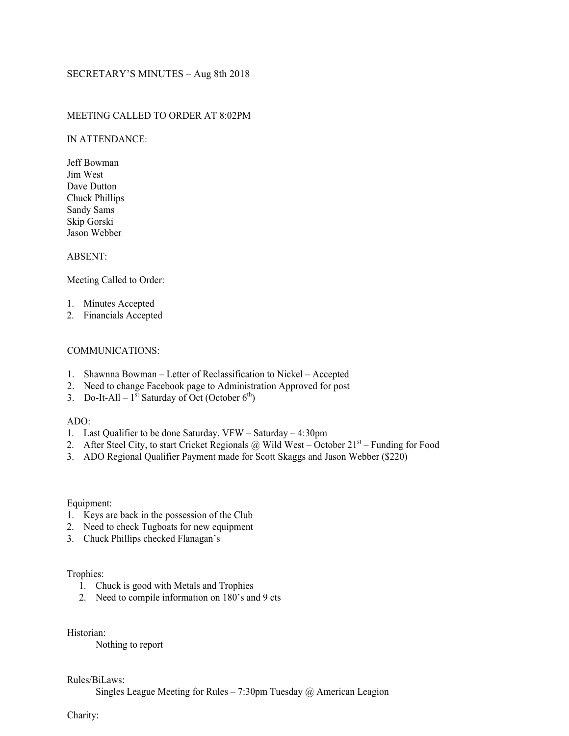# SECRETARY'S MINUTES – Aug 8th 2018

# MEETING CALLED TO ORDER AT 8:02PM

### IN ATTENDANCE:

Jeff Bowman Jim West Dave Dutton Chuck Phillips Sandy Sams Skip Gorski Jason Webber

# ABSENT:

Meeting Called to Order:

- 1. Minutes Accepted
- 2. Financials Accepted

## COMMUNICATIONS:

- 1. Shawnna Bowman Letter of Reclassification to Nickel Accepted
- 2. Need to change Facebook page to Administration Approved for post
- 3. Do-It-All  $1^{st}$  Saturday of Oct (October 6<sup>th</sup>)

## ADO:

- 1. Last Qualifier to be done Saturday. VFW Saturday 4:30pm
- 2. After Steel City, to start Cricket Regionals @ Wild West October  $21<sup>st</sup>$  Funding for Food
- 3. ADO Regional Qualifier Payment made for Scott Skaggs and Jason Webber (\$220)

#### Equipment:

- 1. Keys are back in the possession of the Club
- 2. Need to check Tugboats for new equipment
- 3. Chuck Phillips checked Flanagan's

# Trophies:

- 1. Chuck is good with Metals and Trophies
- 2. Need to compile information on 180's and 9 cts

Historian:

Nothing to report

## Rules/BiLaws:

Singles League Meeting for Rules – 7:30pm Tuesday  $\omega$  American Leagion

Charity: